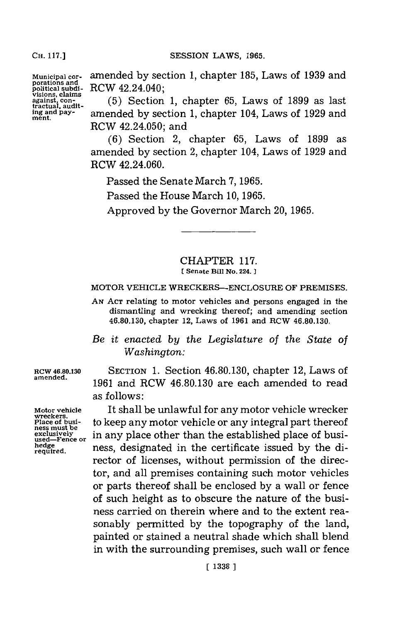**CH. 117.]**

**porations and political subdi-** RCW 42.24.040; **visions, claims tractual, auditment.**

**Municipal cor-** amended **by** section **1,** chapter **185,** Laws of **1939** and

**against, con- (5)** Section **1,** chapter **65,** Laws of **1899** as last **ing and pay-** amended **by** section **1,** chapter 104, Laws of **1929** and RCW 42.24.050; and

> **(6)** Section 2, chapter **65,** Laws of **1899** as amended **by** section 2, chapter 104, Laws of **1929** and RCW 42.24.060.

Passed the Senate March **7, 19 65.**

Passed the House March **10, 1965.**

Approved **by** the Governor March 20, **1965.**

### CHAPTER **117. [ Senate BUi No. 224.]1**

#### MOTOR **VEHICLE** WRECKERS-ENCLOSURE OF PREMISES.

**AN ACT** relating to motor vehicles and persons engaged in the dismantling and wrecking thereof; and amending section **46.80.130,** chapter 12, Laws of **1961** and RCW **46.80.130.**

*Be it enacted by the Legislature of the State of Washington:*

**RCW 46.80.130** SECTION 1. Section 46.80.130, chapter 12, Laws of amended. **amended. 1961** and RCW **46.80.130** are each amended to read as follows:

**Motor vehicle** It shall be unlawful for any motor vehicle wrecker Place of busi-<br>Place of busi-<br>ess must be<br>exclusively<br>exclusively<br>ised—Fence or in any place other than the established place of busi-<br>edge — 1 ress, designated in the certificate issued by the di-<br>required. in any place other than the established place of busi**heiede** ness, designated in the certificate issued **by** the director of licenses, without permission of the director, and all premises containing such motor vehicles or parts thereof shall be enclosed **by** a wall or fence of such height as to obscure the nature of the business carried on therein where and to the extent reasonably permitted **by** the topography of the land, painted or stained a neutral shade which shall blend in with the surrounding premises, such wall or fence

**wreckers.**